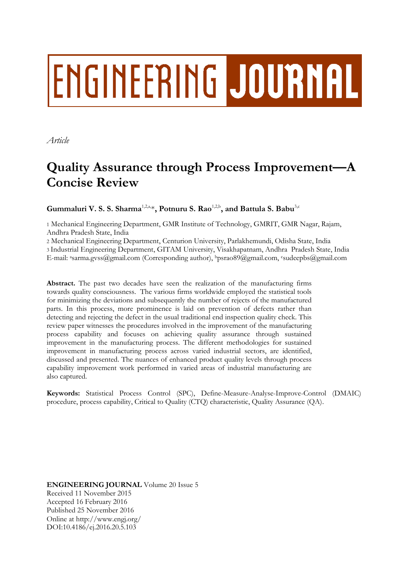# **ENGINEERING JOURNAL**

*Article*

## **Quality Assurance through Process Improvement—A Concise Review**

**Gummaluri V. S. S. Sharma**1,2,a, \***, Potnuru S. Rao**1,2,b **, and Battula S. Babu**3,c

1 Mechanical Engineering Department, GMR Institute of Technology, GMRIT, GMR Nagar, Rajam, Andhra Pradesh State, India

2 Mechanical Engineering Department, Centurion University, Parlakhemundi, Odisha State, India 3 Industrial Engineering Department, GITAM University, Visakhapatnam, Andhra Pradesh State, India E-mail: asarma.gvss@gmail.com (Corresponding author), <sup>b</sup>psrao89@gmail.com, <sup>c</sup>sudeepbs@gmail.com

**Abstract.** The past two decades have seen the realization of the manufacturing firms towards quality consciousness. The various firms worldwide employed the statistical tools for minimizing the deviations and subsequently the number of rejects of the manufactured parts. In this process, more prominence is laid on prevention of defects rather than detecting and rejecting the defect in the usual traditional end inspection quality check. This review paper witnesses the procedures involved in the improvement of the manufacturing process capability and focuses on achieving quality assurance through sustained improvement in the manufacturing process. The different methodologies for sustained improvement in manufacturing process across varied industrial sectors, are identified, discussed and presented. The nuances of enhanced product quality levels through process capability improvement work performed in varied areas of industrial manufacturing are also captured.

**Keywords:** Statistical Process Control (SPC), Define-Measure-Analyse-Improve-Control (DMAIC) procedure, process capability, Critical to Quality (CTQ) characteristic, Quality Assurance (QA).

**ENGINEERING JOURNAL** Volume 20 Issue 5 Received 11 November 2015 Accepted 16 February 2016 Published 25 November 2016 Online at http://www.engj.org/ DOI:10.4186/ej.2016.20.5.103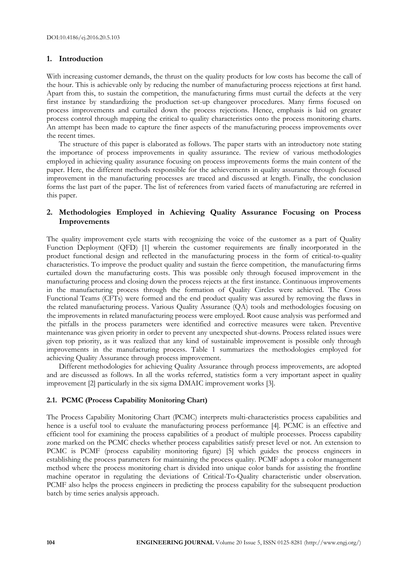#### **1. Introduction**

With increasing customer demands, the thrust on the quality products for low costs has become the call of the hour. This is achievable only by reducing the number of manufacturing process rejections at first hand. Apart from this, to sustain the competition, the manufacturing firms must curtail the defects at the very first instance by standardizing the production set-up changeover procedures. Many firms focused on process improvements and curtailed down the process rejections. Hence, emphasis is laid on greater process control through mapping the critical to quality characteristics onto the process monitoring charts. An attempt has been made to capture the finer aspects of the manufacturing process improvements over the recent times.

The structure of this paper is elaborated as follows. The paper starts with an introductory note stating the importance of process improvements in quality assurance. The review of various methodologies employed in achieving quality assurance focusing on process improvements forms the main content of the paper. Here, the different methods responsible for the achievements in quality assurance through focused improvement in the manufacturing processes are traced and discussed at length. Finally, the conclusion forms the last part of the paper. The list of references from varied facets of manufacturing are referred in this paper.

#### **2. Methodologies Employed in Achieving Quality Assurance Focusing on Process Improvements**

The quality improvement cycle starts with recognizing the voice of the customer as a part of Quality Function Deployment (QFD) [1] wherein the customer requirements are finally incorporated in the product functional design and reflected in the manufacturing process in the form of critical-to-quality characteristics. To improve the product quality and sustain the fierce competition, the manufacturing firms curtailed down the manufacturing costs. This was possible only through focused improvement in the manufacturing process and closing down the process rejects at the first instance. Continuous improvements in the manufacturing process through the formation of Quality Circles were achieved. The Cross Functional Teams (CFTs) were formed and the end product quality was assured by removing the flaws in the related manufacturing process. Various Quality Assurance (QA) tools and methodologies focusing on the improvements in related manufacturing process were employed. Root cause analysis was performed and the pitfalls in the process parameters were identified and corrective measures were taken. Preventive maintenance was given priority in order to prevent any unexpected shut-downs. Process related issues were given top priority, as it was realized that any kind of sustainable improvement is possible only through improvements in the manufacturing process. Table 1 summarizes the methodologies employed for achieving Quality Assurance through process improvement.

Different methodologies for achieving Quality Assurance through process improvements, are adopted and are discussed as follows. In all the works referred, statistics form a very important aspect in quality improvement [2] particularly in the six sigma DMAIC improvement works [3].

#### **2.1. PCMC (Process Capability Monitoring Chart)**

The Process Capability Monitoring Chart (PCMC) interprets multi-characteristics process capabilities and hence is a useful tool to evaluate the manufacturing process performance [4]. PCMC is an effective and efficient tool for examining the process capabilities of a product of multiple processes. Process capability zone marked on the PCMC checks whether process capabilities satisfy preset level or not. An extension to PCMC is PCMF (process capability monitoring figure) [5] which guides the process engineers in establishing the process parameters for maintaining the process quality. PCMF adopts a color management method where the process monitoring chart is divided into unique color bands for assisting the frontline machine operator in regulating the deviations of Critical-To-Quality characteristic under observation. PCMF also helps the process engineers in predicting the process capability for the subsequent production batch by time series analysis approach.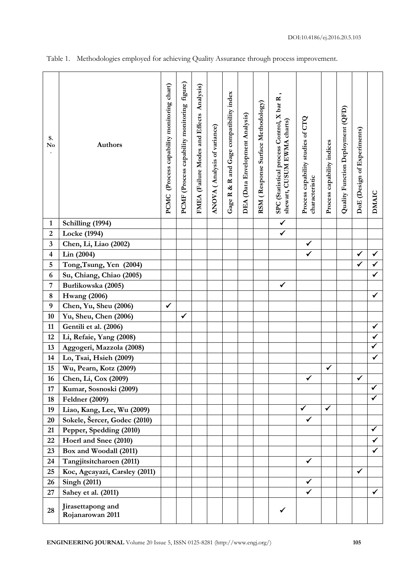| S.<br>No                    | <b>Authors</b>                               | (Process capability monitoring chart)<br><b>PCMC</b> | figure)<br>Process capability monitoring<br><b>PCMF</b> | FMEA (Failure Modes and Effects Analysis) | ANOVA (Analysis of variance) | R and Gage compatibility index<br>$\infty$<br>Gage R | DEA (Data Envelopment Analysis) | RSM (Response Surface Methodology) | SPC (Statistical process Control, X bar R<br>shewart, CUSUM EWMA charts) | Process capability studies of CTQ<br>characteristic | Process capability indices | Quality Function Deployment (QFD) | DoE (Design of Experiments) | <b>DMAIC</b>                 |
|-----------------------------|----------------------------------------------|------------------------------------------------------|---------------------------------------------------------|-------------------------------------------|------------------------------|------------------------------------------------------|---------------------------------|------------------------------------|--------------------------------------------------------------------------|-----------------------------------------------------|----------------------------|-----------------------------------|-----------------------------|------------------------------|
| $\mathbf{1}$                | Schilling (1994)                             |                                                      |                                                         |                                           |                              |                                                      |                                 |                                    | $\checkmark$                                                             |                                                     |                            |                                   |                             |                              |
| $\boldsymbol{2}$            | Locke (1994)                                 |                                                      |                                                         |                                           |                              |                                                      |                                 |                                    | $\checkmark$                                                             |                                                     |                            |                                   |                             |                              |
| 3                           | Chen, Li, Liao (2002)                        |                                                      |                                                         |                                           |                              |                                                      |                                 |                                    |                                                                          | $\checkmark$                                        |                            |                                   |                             |                              |
| $\overline{\mathbf{4}}$     | Lin (2004)                                   |                                                      |                                                         |                                           |                              |                                                      |                                 |                                    |                                                                          | $\checkmark$                                        |                            |                                   | ✓                           | $\checkmark$                 |
| 5                           | Tong, Tsung, Yen (2004)                      |                                                      |                                                         |                                           |                              |                                                      |                                 |                                    |                                                                          |                                                     |                            |                                   | ✓                           | $\checkmark$<br>$\checkmark$ |
| 6                           | Su, Chiang, Chiao (2005)                     |                                                      |                                                         |                                           |                              |                                                      |                                 |                                    | $\checkmark$                                                             |                                                     |                            |                                   |                             |                              |
| $\overline{7}$              | Burlikowska (2005)                           |                                                      |                                                         |                                           |                              |                                                      |                                 |                                    |                                                                          |                                                     |                            |                                   |                             | $\checkmark$                 |
| $\bf 8$<br>$\boldsymbol{9}$ | <b>Hwang</b> (2006)<br>Chen, Yu, Sheu (2006) | ✓                                                    |                                                         |                                           |                              |                                                      |                                 |                                    |                                                                          |                                                     |                            |                                   |                             |                              |
| 10                          | Yu, Sheu, Chen (2006)                        |                                                      | ✓                                                       |                                           |                              |                                                      |                                 |                                    |                                                                          |                                                     |                            |                                   |                             |                              |
| 11                          | Gentili et al. (2006)                        |                                                      |                                                         |                                           |                              |                                                      |                                 |                                    |                                                                          |                                                     |                            |                                   |                             | $\checkmark$                 |
| 12                          | Li, Refaie, Yang (2008)                      |                                                      |                                                         |                                           |                              |                                                      |                                 |                                    |                                                                          |                                                     |                            |                                   |                             | $\checkmark$                 |
| 13                          | Aggogeri, Mazzola (2008)                     |                                                      |                                                         |                                           |                              |                                                      |                                 |                                    |                                                                          |                                                     |                            |                                   |                             | $\checkmark$                 |
| 14                          | Lo, Tsai, Hsieh (2009)                       |                                                      |                                                         |                                           |                              |                                                      |                                 |                                    |                                                                          |                                                     |                            |                                   |                             | $\checkmark$                 |
| 15                          | Wu, Pearn, Kotz (2009)                       |                                                      |                                                         |                                           |                              |                                                      |                                 |                                    |                                                                          |                                                     | $\checkmark$               |                                   |                             |                              |
| 16                          | Chen, Li, Cox (2009)                         |                                                      |                                                         |                                           |                              |                                                      |                                 |                                    |                                                                          | ✔                                                   |                            |                                   | $\checkmark$                |                              |
| 17                          | Kumar, Sosnoski (2009)                       |                                                      |                                                         |                                           |                              |                                                      |                                 |                                    |                                                                          |                                                     |                            |                                   |                             |                              |
| 18                          | <b>Feldner</b> (2009)                        |                                                      |                                                         |                                           |                              |                                                      |                                 |                                    |                                                                          |                                                     |                            |                                   |                             | ✓                            |
| 19                          | Liao, Kang, Lee, Wu (2009)                   |                                                      |                                                         |                                           |                              |                                                      |                                 |                                    |                                                                          | $\blacktriangledown$                                | $\blacktriangledown$       |                                   |                             |                              |
| 20                          | Sokele, Šercer, Godec (2010)                 |                                                      |                                                         |                                           |                              |                                                      |                                 |                                    |                                                                          | $\checkmark$                                        |                            |                                   |                             |                              |
| 21                          | Pepper, Spedding (2010)                      |                                                      |                                                         |                                           |                              |                                                      |                                 |                                    |                                                                          |                                                     |                            |                                   |                             | $\checkmark$                 |
| 22                          | Hoerl and Snee (2010)                        |                                                      |                                                         |                                           |                              |                                                      |                                 |                                    |                                                                          |                                                     |                            |                                   |                             |                              |
| 23                          | Box and Woodall (2011)                       |                                                      |                                                         |                                           |                              |                                                      |                                 |                                    |                                                                          |                                                     |                            |                                   |                             |                              |
| 24                          | Tangjitsitcharoen (2011)                     |                                                      |                                                         |                                           |                              |                                                      |                                 |                                    |                                                                          | $\checkmark$                                        |                            |                                   |                             |                              |
| 25                          | Koc, Agcayazi, Carsley (2011)                |                                                      |                                                         |                                           |                              |                                                      |                                 |                                    |                                                                          |                                                     |                            |                                   | $\checkmark$                |                              |
| 26                          | <b>Singh (2011)</b>                          |                                                      |                                                         |                                           |                              |                                                      |                                 |                                    |                                                                          | $\checkmark$                                        |                            |                                   |                             |                              |
| 27                          | Sahey et al. (2011)                          |                                                      |                                                         |                                           |                              |                                                      |                                 |                                    |                                                                          | $\checkmark$                                        |                            |                                   |                             | $\checkmark$                 |
| 28                          | Jirasettapong and<br>Rojanarowan 2011        |                                                      |                                                         |                                           |                              |                                                      |                                 |                                    |                                                                          |                                                     |                            |                                   |                             |                              |

Table 1. Methodologies employed for achieving Quality Assurance through process improvement.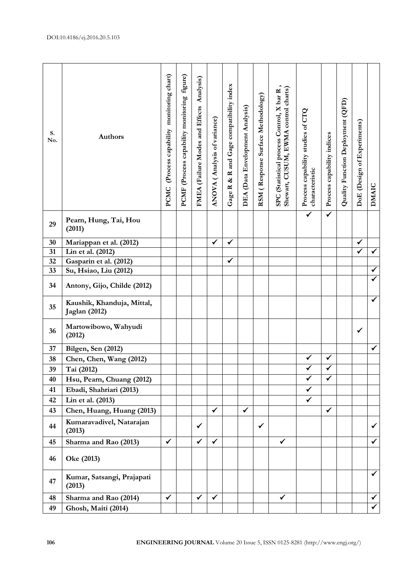| (Process capability monitoring chart)<br>figure)<br>FMEA (Failure Modes and Effects Analysis)<br>R and Gage compatibility index<br>control charts)<br>SPC (Statistical process Control, X bar R<br>RSM (Response Surface Methodology)<br>Process capability monitoring<br>Quality Function Deployment (QFD)<br>DEA (Data Envelopment Analysis)<br>Process capability studies of CTQ<br>ANOVA (Analysis of variance)<br>DoE (Design of Experiments)<br>Shewart, CUSUM, EWMA<br>S.<br>Process capability indices<br><b>Authors</b><br>No.<br>characteristic<br>ళ<br><b>DMAIC</b><br>Gage R<br>PCMC<br><b>PCMF</b><br>$\overline{\checkmark}$<br>$\overline{\checkmark}$<br>Pearn, Hung, Tai, Hou<br>29<br>(2011)<br>Mariappan et al. (2012)<br>30<br>$\checkmark$<br>✓<br>✔<br>$\checkmark$<br>$\checkmark$<br>Lin et al. (2012)<br>31<br>$\checkmark$<br>32<br>Gasparin et al. (2012)<br>Su, Hsiao, Liu (2012)<br>✓<br>33<br>✓<br>34<br>Antony, Gijo, Childe (2012)<br>✓<br>Kaushik, Khanduja, Mittal,<br>35<br>Jaglan (2012)<br>Martowibowo, Wahyudi<br>36<br>✓<br>(2012)<br>✓<br><b>Bilgen, Sen (2012)</b><br>37<br>$\checkmark$<br>$\checkmark$<br>38<br>Chen, Chen, Wang (2012)<br>$\bar{r}$<br>39<br>Tai (2012)<br>٧<br>$\overline{\checkmark}$<br>$\checkmark$<br>Hsu, Pearn, Chuang (2012)<br>40<br>Ebadi, Shahriari (2013)<br>✔<br>41<br>$\checkmark$<br>Lin et al. (2013)<br>42<br>$\checkmark$<br>Chen, Huang, Huang (2013)<br>$\checkmark$<br>$\checkmark$<br>43<br>Kumaravadivel, Natarajan<br>$\checkmark$<br>44<br>$\checkmark$<br>✓<br>(2013)<br>$\checkmark$<br>$\checkmark$<br>$\checkmark$<br>$\checkmark$<br>✓<br>Sharma and Rao (2013)<br>45<br>Oke (2013)<br>46<br>$\checkmark$<br>Kumar, Satsangi, Prajapati<br>47<br>(2013)<br>$\checkmark$<br>48<br>Sharma and Rao (2014)<br>$\checkmark$<br>$\checkmark$<br>$\checkmark$<br>$\checkmark$<br>Ghosh, Maiti (2014)<br>49 |  |  |  |  |  |  |  |  |
|-----------------------------------------------------------------------------------------------------------------------------------------------------------------------------------------------------------------------------------------------------------------------------------------------------------------------------------------------------------------------------------------------------------------------------------------------------------------------------------------------------------------------------------------------------------------------------------------------------------------------------------------------------------------------------------------------------------------------------------------------------------------------------------------------------------------------------------------------------------------------------------------------------------------------------------------------------------------------------------------------------------------------------------------------------------------------------------------------------------------------------------------------------------------------------------------------------------------------------------------------------------------------------------------------------------------------------------------------------------------------------------------------------------------------------------------------------------------------------------------------------------------------------------------------------------------------------------------------------------------------------------------------------------------------------------------------------------------------------------------------------------------------------------------------------------------------------------------------------------------------------------------------|--|--|--|--|--|--|--|--|
|                                                                                                                                                                                                                                                                                                                                                                                                                                                                                                                                                                                                                                                                                                                                                                                                                                                                                                                                                                                                                                                                                                                                                                                                                                                                                                                                                                                                                                                                                                                                                                                                                                                                                                                                                                                                                                                                                               |  |  |  |  |  |  |  |  |
|                                                                                                                                                                                                                                                                                                                                                                                                                                                                                                                                                                                                                                                                                                                                                                                                                                                                                                                                                                                                                                                                                                                                                                                                                                                                                                                                                                                                                                                                                                                                                                                                                                                                                                                                                                                                                                                                                               |  |  |  |  |  |  |  |  |
|                                                                                                                                                                                                                                                                                                                                                                                                                                                                                                                                                                                                                                                                                                                                                                                                                                                                                                                                                                                                                                                                                                                                                                                                                                                                                                                                                                                                                                                                                                                                                                                                                                                                                                                                                                                                                                                                                               |  |  |  |  |  |  |  |  |
|                                                                                                                                                                                                                                                                                                                                                                                                                                                                                                                                                                                                                                                                                                                                                                                                                                                                                                                                                                                                                                                                                                                                                                                                                                                                                                                                                                                                                                                                                                                                                                                                                                                                                                                                                                                                                                                                                               |  |  |  |  |  |  |  |  |
|                                                                                                                                                                                                                                                                                                                                                                                                                                                                                                                                                                                                                                                                                                                                                                                                                                                                                                                                                                                                                                                                                                                                                                                                                                                                                                                                                                                                                                                                                                                                                                                                                                                                                                                                                                                                                                                                                               |  |  |  |  |  |  |  |  |
|                                                                                                                                                                                                                                                                                                                                                                                                                                                                                                                                                                                                                                                                                                                                                                                                                                                                                                                                                                                                                                                                                                                                                                                                                                                                                                                                                                                                                                                                                                                                                                                                                                                                                                                                                                                                                                                                                               |  |  |  |  |  |  |  |  |
|                                                                                                                                                                                                                                                                                                                                                                                                                                                                                                                                                                                                                                                                                                                                                                                                                                                                                                                                                                                                                                                                                                                                                                                                                                                                                                                                                                                                                                                                                                                                                                                                                                                                                                                                                                                                                                                                                               |  |  |  |  |  |  |  |  |
|                                                                                                                                                                                                                                                                                                                                                                                                                                                                                                                                                                                                                                                                                                                                                                                                                                                                                                                                                                                                                                                                                                                                                                                                                                                                                                                                                                                                                                                                                                                                                                                                                                                                                                                                                                                                                                                                                               |  |  |  |  |  |  |  |  |
|                                                                                                                                                                                                                                                                                                                                                                                                                                                                                                                                                                                                                                                                                                                                                                                                                                                                                                                                                                                                                                                                                                                                                                                                                                                                                                                                                                                                                                                                                                                                                                                                                                                                                                                                                                                                                                                                                               |  |  |  |  |  |  |  |  |
|                                                                                                                                                                                                                                                                                                                                                                                                                                                                                                                                                                                                                                                                                                                                                                                                                                                                                                                                                                                                                                                                                                                                                                                                                                                                                                                                                                                                                                                                                                                                                                                                                                                                                                                                                                                                                                                                                               |  |  |  |  |  |  |  |  |
|                                                                                                                                                                                                                                                                                                                                                                                                                                                                                                                                                                                                                                                                                                                                                                                                                                                                                                                                                                                                                                                                                                                                                                                                                                                                                                                                                                                                                                                                                                                                                                                                                                                                                                                                                                                                                                                                                               |  |  |  |  |  |  |  |  |
|                                                                                                                                                                                                                                                                                                                                                                                                                                                                                                                                                                                                                                                                                                                                                                                                                                                                                                                                                                                                                                                                                                                                                                                                                                                                                                                                                                                                                                                                                                                                                                                                                                                                                                                                                                                                                                                                                               |  |  |  |  |  |  |  |  |
|                                                                                                                                                                                                                                                                                                                                                                                                                                                                                                                                                                                                                                                                                                                                                                                                                                                                                                                                                                                                                                                                                                                                                                                                                                                                                                                                                                                                                                                                                                                                                                                                                                                                                                                                                                                                                                                                                               |  |  |  |  |  |  |  |  |
|                                                                                                                                                                                                                                                                                                                                                                                                                                                                                                                                                                                                                                                                                                                                                                                                                                                                                                                                                                                                                                                                                                                                                                                                                                                                                                                                                                                                                                                                                                                                                                                                                                                                                                                                                                                                                                                                                               |  |  |  |  |  |  |  |  |
|                                                                                                                                                                                                                                                                                                                                                                                                                                                                                                                                                                                                                                                                                                                                                                                                                                                                                                                                                                                                                                                                                                                                                                                                                                                                                                                                                                                                                                                                                                                                                                                                                                                                                                                                                                                                                                                                                               |  |  |  |  |  |  |  |  |
|                                                                                                                                                                                                                                                                                                                                                                                                                                                                                                                                                                                                                                                                                                                                                                                                                                                                                                                                                                                                                                                                                                                                                                                                                                                                                                                                                                                                                                                                                                                                                                                                                                                                                                                                                                                                                                                                                               |  |  |  |  |  |  |  |  |
|                                                                                                                                                                                                                                                                                                                                                                                                                                                                                                                                                                                                                                                                                                                                                                                                                                                                                                                                                                                                                                                                                                                                                                                                                                                                                                                                                                                                                                                                                                                                                                                                                                                                                                                                                                                                                                                                                               |  |  |  |  |  |  |  |  |
|                                                                                                                                                                                                                                                                                                                                                                                                                                                                                                                                                                                                                                                                                                                                                                                                                                                                                                                                                                                                                                                                                                                                                                                                                                                                                                                                                                                                                                                                                                                                                                                                                                                                                                                                                                                                                                                                                               |  |  |  |  |  |  |  |  |
|                                                                                                                                                                                                                                                                                                                                                                                                                                                                                                                                                                                                                                                                                                                                                                                                                                                                                                                                                                                                                                                                                                                                                                                                                                                                                                                                                                                                                                                                                                                                                                                                                                                                                                                                                                                                                                                                                               |  |  |  |  |  |  |  |  |
|                                                                                                                                                                                                                                                                                                                                                                                                                                                                                                                                                                                                                                                                                                                                                                                                                                                                                                                                                                                                                                                                                                                                                                                                                                                                                                                                                                                                                                                                                                                                                                                                                                                                                                                                                                                                                                                                                               |  |  |  |  |  |  |  |  |
|                                                                                                                                                                                                                                                                                                                                                                                                                                                                                                                                                                                                                                                                                                                                                                                                                                                                                                                                                                                                                                                                                                                                                                                                                                                                                                                                                                                                                                                                                                                                                                                                                                                                                                                                                                                                                                                                                               |  |  |  |  |  |  |  |  |
|                                                                                                                                                                                                                                                                                                                                                                                                                                                                                                                                                                                                                                                                                                                                                                                                                                                                                                                                                                                                                                                                                                                                                                                                                                                                                                                                                                                                                                                                                                                                                                                                                                                                                                                                                                                                                                                                                               |  |  |  |  |  |  |  |  |
|                                                                                                                                                                                                                                                                                                                                                                                                                                                                                                                                                                                                                                                                                                                                                                                                                                                                                                                                                                                                                                                                                                                                                                                                                                                                                                                                                                                                                                                                                                                                                                                                                                                                                                                                                                                                                                                                                               |  |  |  |  |  |  |  |  |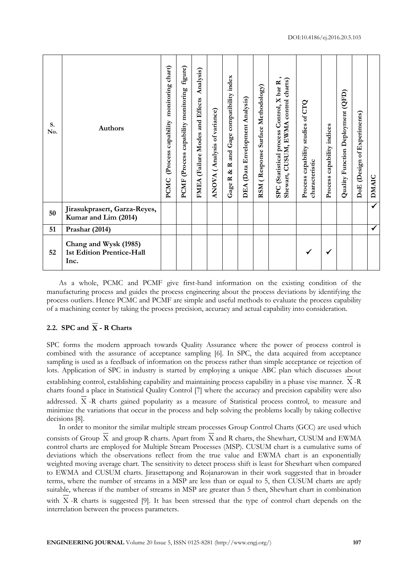| S.<br>No. | <b>Authors</b>                                             | chart)<br>monitoring<br>capability<br>(Process<br>PCMC | figure)<br>capability monitoring<br>(Process<br><b>PCMF</b> | Analysis)<br>and Effects<br>(Failure Modes<br>FMEA | ANOVA (Analysis of variance) | compatibility index<br>Gage<br>and<br>$\approx$<br>ಷ<br>$\simeq$<br>Gage | (Data Envelopment Analysis)<br>DEA | (Response Surface Methodology)<br>RSM | control charts)<br>SPC (Statistical process Control, X bar R<br>Shewart, CUSUM, EWMA | capability studies of CTQ<br>characteristic<br>Process | capability indices<br>Process | (QFD)<br>Quality Function Deployment | (Design of Experiments)<br>DoE | DMAIC        |
|-----------|------------------------------------------------------------|--------------------------------------------------------|-------------------------------------------------------------|----------------------------------------------------|------------------------------|--------------------------------------------------------------------------|------------------------------------|---------------------------------------|--------------------------------------------------------------------------------------|--------------------------------------------------------|-------------------------------|--------------------------------------|--------------------------------|--------------|
| 50        | Jirasukprasert, Garza-Reyes,<br>Kumar and Lim (2014)       |                                                        |                                                             |                                                    |                              |                                                                          |                                    |                                       |                                                                                      |                                                        |                               |                                      |                                | $\checkmark$ |
| 51        | Prashar (2014)                                             |                                                        |                                                             |                                                    |                              |                                                                          |                                    |                                       |                                                                                      |                                                        |                               |                                      |                                | $\checkmark$ |
| 52        | Chang and Wysk (1985)<br>1st Edition Prentice-Hall<br>Inc. |                                                        |                                                             |                                                    |                              |                                                                          |                                    |                                       |                                                                                      |                                                        | ✔                             |                                      |                                |              |

As a whole, PCMC and PCMF give first-hand information on the existing condition of the manufacturing process and guides the process engineering about the process deviations by identifying the process outliers. Hence PCMC and PCMF are simple and useful methods to evaluate the process capability of a machining center by taking the process precision, accuracy and actual capability into consideration.

### **2.2. SPC and X - R Charts**

SPC forms the modern approach towards Quality Assurance where the power of process control is combined with the assurance of acceptance sampling [6]. In SPC, the data acquired from acceptance sampling is used as a feedback of information on the process rather than simple acceptance or rejection of lots. Application of SPC in industry is started by employing a unique ABC plan which discusses about establishing control, establishing capability and maintaining process capability in a phase vise manner. X -R

charts found a place in Statistical Quality Control [7] where the accuracy and precision capability were also

addressed. X -R charts gained popularity as a measure of Statistical process control, to measure and minimize the variations that occur in the process and help solving the problems locally by taking collective decisions [8].

In order to monitor the similar multiple stream processes Group Control Charts (GCC) are used which consists of Group X and group R charts. Apart from X and R charts, the Shewhart, CUSUM and EWMA control charts are employed for Multiple Stream Processes (MSP). CUSUM chart is a cumulative sums of deviations which the observations reflect from the true value and EWMA chart is an exponentially weighted moving average chart. The sensitivity to detect process shift is least for Shewhart when compared to EWMA and CUSUM charts. Jirasettapong and Rojanarowan in their work suggested that in broader terms, where the number of streams in a MSP are less than or equal to 5, then CUSUM charts are aptly suitable, whereas if the number of streams in MSP are greater than 5 then, Shewhart chart in combination with X -R charts is suggested [9]. It has been stressed that the type of control chart depends on the interrelation between the process parameters.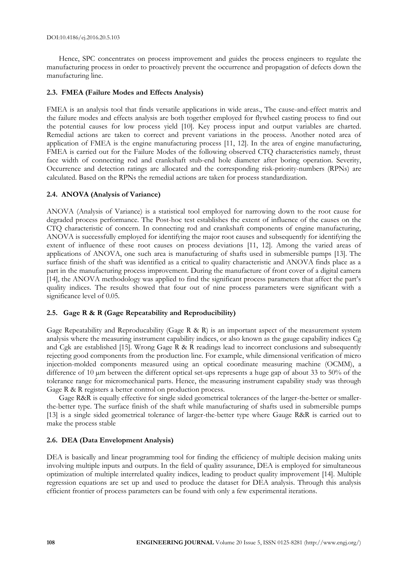Hence, SPC concentrates on process improvement and guides the process engineers to regulate the manufacturing process in order to proactively prevent the occurrence and propagation of defects down the manufacturing line.

#### **2.3. FMEA (Failure Modes and Effects Analysis)**

FMEA is an analysis tool that finds versatile applications in wide areas., The cause-and-effect matrix and the failure modes and effects analysis are both together employed for flywheel casting process to find out the potential causes for low process yield [10]. Key process input and output variables are charted. Remedial actions are taken to correct and prevent variations in the process. Another noted area of application of FMEA is the engine manufacturing process [11, 12]. In the area of engine manufacturing, FMEA is carried out for the Failure Modes of the following observed CTQ characteristics namely, thrust face width of connecting rod and crankshaft stub-end hole diameter after boring operation. Severity, Occurrence and detection ratings are allocated and the corresponding risk-priority-numbers (RPNs) are calculated. Based on the RPNs the remedial actions are taken for process standardization.

#### **2.4. ANOVA (Analysis of Variance)**

ANOVA (Analysis of Variance) is a statistical tool employed for narrowing down to the root cause for degraded process performance. The Post-hoc test establishes the extent of influence of the causes on the CTQ characteristic of concern. In connecting rod and crankshaft components of engine manufacturing, ANOVA is successfully employed for identifying the major root causes and subsequently for identifying the extent of influence of these root causes on process deviations [11, 12]. Among the varied areas of applications of ANOVA, one such area is manufacturing of shafts used in submersible pumps [13]. The surface finish of the shaft was identified as a critical to quality characteristic and ANOVA finds place as a part in the manufacturing process improvement. During the manufacture of front cover of a digital camera [14], the ANOVA methodology was applied to find the significant process parameters that affect the part's quality indices. The results showed that four out of nine process parameters were significant with a significance level of 0.05.

#### **2.5. Gage R & R (Gage Repeatability and Reproducibility)**

Gage Repeatability and Reproducability (Gage R & R) is an important aspect of the measurement system analysis where the measuring instrument capability indices, or also known as the gauge capability indices Cg and Cgk are established [15]. Wrong Gage R & R readings lead to incorrect conclusions and subsequently rejecting good components from the production line. For example, while dimensional verification of micro injection-molded components measured using an optical coordinate measuring machine (OCMM), a difference of 10  $\mu$ m between the different optical set-ups represents a huge gap of about 33 to 50% of the tolerance range for micromechanical parts. Hence, the measuring instrument capability study was through Gage R & R registers a better control on production process.

Gage R&R is equally effective for single sided geometrical tolerances of the larger-the-better or smallerthe-better type. The surface finish of the shaft while manufacturing of shafts used in submersible pumps [13] is a single sided geometrical tolerance of larger-the-better type where Gauge R&R is carried out to make the process stable

#### **2.6. DEA (Data Envelopment Analysis)**

DEA is basically and linear programming tool for finding the efficiency of multiple decision making units involving multiple inputs and outputs. In the field of quality assurance, DEA is employed for simultaneous optimization of multiple interrelated quality indices, leading to product quality improvement [14]. Multiple regression equations are set up and used to produce the dataset for DEA analysis. Through this analysis efficient frontier of process parameters can be found with only a few experimental iterations.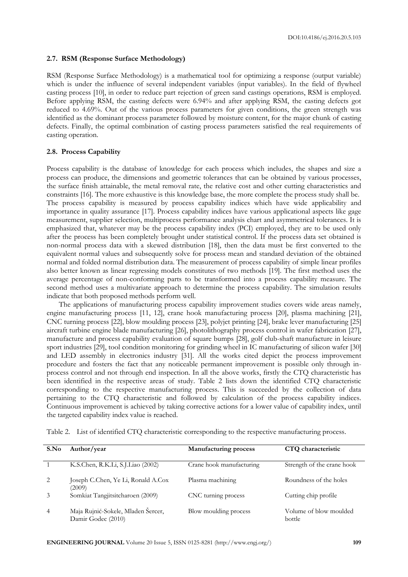#### **2.7. RSM (Response Surface Methodology)**

RSM (Response Surface Methodology) is a mathematical tool for optimizing a response (output variable) which is under the influence of several independent variables (input variables). In the field of flywheel casting process [10], in order to reduce part rejection of green sand castings operations, RSM is employed. Before applying RSM, the casting defects were 6.94% and after applying RSM, the casting defects got reduced to 4.69%. Out of the various process parameters for given conditions, the green strength was identified as the dominant process parameter followed by moisture content, for the major chunk of casting defects. Finally, the optimal combination of casting process parameters satisfied the real requirements of casting operation.

#### **2.8. Process Capability**

Process capability is the database of knowledge for each process which includes, the shapes and size a process can produce, the dimensions and geometric tolerances that can be obtained by various processes, the surface finish attainable, the metal removal rate, the relative cost and other cutting characteristics and constraints [16]. The more exhaustive is this knowledge base, the more complete the process study shall be. The process capability is measured by process capability indices which have wide applicability and importance in quality assurance [17]. Process capability indices have various applicational aspects like gage measurement, supplier selection, multiprocess performance analysis chart and asymmetrical tolerances. It is emphasized that, whatever may be the process capability index (PCI) employed, they are to be used only after the process has been completely brought under statistical control. If the process data set obtained is non-normal process data with a skewed distribution [18], then the data must be first converted to the equivalent normal values and subsequently solve for process mean and standard deviation of the obtained normal and folded normal distribution data. The measurement of process capability of simple linear profiles also better known as linear regressing models constitutes of two methods [19]. The first method uses the average percentage of non-conforming parts to be transformed into a process capability measure. The second method uses a multivariate approach to determine the process capability. The simulation results indicate that both proposed methods perform well.

The applications of manufacturing process capability improvement studies covers wide areas namely, engine manufacturing process [11, 12], crane hook manufacturing process [20], plasma machining [21], CNC turning process [22], blow moulding process [23], polyjet printing [24], brake lever manufacturing [25] aircraft turbine engine blade manufacturing [26], photolithography process control in wafer fabrication [27], manufacture and process capability evaluation of square bumps [28], golf club-shaft manufacture in leisure sport industries [29], tool condition monitoring for grinding wheel in IC manufacturing of silicon wafer [30] and LED assembly in electronics industry [31]. All the works cited depict the process improvement procedure and fosters the fact that any noticeable permanent improvement is possible only through inprocess control and not through end inspection. In all the above works, firstly the CTQ characteristic has been identified in the respective areas of study. Table 2 lists down the identified CTQ characteristic corresponding to the respective manufacturing process. This is succeeded by the collection of data pertaining to the CTQ characteristic and followed by calculation of the process capability indices. Continuous improvement is achieved by taking corrective actions for a lower value of capability index, until the targeted capability index value is reached.

| S.No           | Author/year                                              | Manufacturing process    | CTQ characteristic               |
|----------------|----------------------------------------------------------|--------------------------|----------------------------------|
| $\mathbf{1}$   | K.S.Chen, R.K.Li, S.J.Liao (2002)                        | Crane hook manufacturing | Strength of the crane hook       |
| 2              | Joseph C.Chen, Ye Li, Ronald A.Cox<br>(2009)             | Plasma machining         | Roundness of the holes           |
| 3              | Somkiat Tangjitsitcharoen (2009)                         | CNC turning process      | Cutting chip profile             |
| $\overline{4}$ | Maja Rujnić-Sokele, Mladen Šercer,<br>Damir Godec (2010) | Blow moulding process    | Volume of blow moulded<br>bottle |

Table 2. List of identified CTQ characteristic corresponding to the respective manufacturing process.

**ENGINEERING JOURNAL** Volume 20 Issue 5, ISSN 0125-8281 (http://www.engj.org/) **109**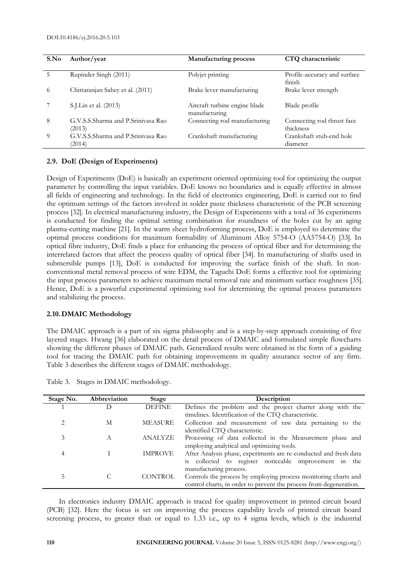| S.No     | Author/year                                  | <b>Manufacturing process</b>                   | CTQ characteristic                      |
|----------|----------------------------------------------|------------------------------------------------|-----------------------------------------|
| 5        | Rupinder Singh (2011)                        | Polyjet printing                               | Profile-accuracy and surface<br>finish  |
| 6        | Chittaranjan Sahey et al. (2011)             | Brake lever manufacturing                      | Brake lever strength                    |
|          | S.J.Lin et al. (2013)                        | Aircraft turbine engine blade<br>manufacturing | Blade profile                           |
| 8        | G.V.S.S.Sharma and P.Sriniyasa Rao<br>(2013) | Connecting rod manufacturing                   | Connecting rod thrust face<br>thickness |
| $\Omega$ | G.V.S.S.Sharma and P.Srinivasa Rao<br>(2014) | Crankshaft manufacturing                       | Crankshaft stub-end hole<br>diameter    |

#### **2.9. DoE (Design of Experiments)**

Design of Experiments (DoE) is basically an experiment oriented optimizing tool for optimizing the output parameter by controlling the input variables. DoE knows no boundaries and is equally effective in almost all fields of engineering and technology. In the field of electronics engineering, DoE is carried out to find the optimum settings of the factors involved in solder paste thickness characteristic of the PCB screening process [32]. In electrical manufacturing industry, the Design of Experiments with a total of 36 experiments is conducted for finding the optimal setting combination for roundness of the holes cut by an aging plasma-cutting machine [21]. In the warm sheet hydroforming process, DoE is employed to determine the optimal process conditions for maximum formability of Aluminum Alloy 5754-O (AA5754-O) [33]. In optical fibre industry, DoE finds a place for enhancing the process of optical fiber and for determining the interrelated factors that affect the process quality of optical fiber [34]. In manufacturing of shafts used in submersible pumps [13], DoE is conducted for improving the surface finish of the shaft. In nonconventional metal removal process of wire EDM, the Taguchi DoE forms a effective tool for optimizing the input process parameters to achieve maximum metal removal rate and minimum surface roughness [35]. Hence, DoE is a powerful experimental optimizing tool for determining the optimal process parameters and stabilizing the process.

#### **2.10.DMAIC Methodology**

The DMAIC approach is a part of six sigma philosophy and is a step-by-step approach consisting of five layered stages. Hwang [36] elaborated on the detail process of DMAIC and formulated simple flowcharts showing the different phases of DMAIC path. Generalized results were obtained in the form of a guiding tool for tracing the DMAIC path for obtaining improvements in quality assurance sector of any firm. Table 3 describes the different stages of DMAIC methodology.

| Stage No. | Abbreviation   | Stage          | Description                                                        |
|-----------|----------------|----------------|--------------------------------------------------------------------|
|           |                | <b>DEFINE</b>  | Defines the problem and the project charter along with the         |
|           |                |                | timelines. Identification of the CTQ characteristic.               |
| 2         | M              | <b>MEASURE</b> | Collection and measurement of raw data pertaining to the           |
|           |                |                | identified CTQ characteristic.                                     |
| 3         | $\overline{A}$ | ANALYZE        | Processing of data collected in the Measurement phase and          |
|           |                |                | employing analytical and optimizing tools.                         |
| 4         |                | <b>IMPROVE</b> | After Analysis phase, experiments are re-conducted and fresh data  |
|           |                |                | is collected to register noticeable improvement in the             |
|           |                |                | manufacturing process.                                             |
| 5         |                | <b>CONTROL</b> | Controls the process by employing process monitoring charts and    |
|           |                |                | control charts, in order to prevent the process from degeneration. |

Table 3. Stages in DMAIC methodology.

In electronics industry DMAIC approach is traced for quality improvement in printed circuit board (PCB) [32]. Here the focus is set on improving the process capability levels of printed circuit board screening process, to greater than or equal to 1.33 i.e., up to 4 sigma levels, which is the industrial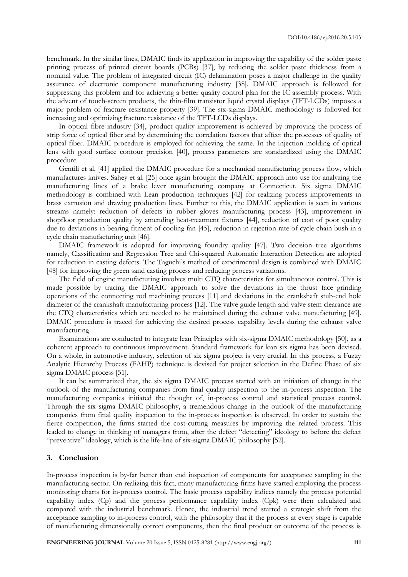benchmark. In the similar lines, DMAIC finds its application in improving the capability of the solder paste printing process of printed circuit boards (PCBs) [37], by reducing the solder paste thickness from a nominal value. The problem of integrated circuit (IC) delamination poses a major challenge in the quality assurance of electronic component manufacturing industry [38]. DMAIC approach is followed for suppressing this problem and for achieving a better quality control plan for the IC assembly process. With the advent of touch-screen products, the thin-film transistor liquid crystal displays (TFT-LCDs) imposes a major problem of fracture resistance property [39]. The six-sigma DMAIC methodology is followed for increasing and optimizing fracture resistance of the TFT-LCDs displays.

In optical fibre industry [34], product quality improvement is achieved by improving the process of strip force of optical fiber and by determining the correlation factors that affect the processes of quality of optical fiber. DMAIC procedure is employed for achieving the same. In the injection molding of optical lens with good surface contour precision [40], process parameters are standardized using the DMAIC procedure.

Gentili et al. [41] applied the DMAIC procedure for a mechanical manufacturing process flow, which manufactures knives. Sahey et al. [25] once again brought the DMAIC approach into use for analyzing the manufacturing lines of a brake lever manufacturing company at Connecticut. Six sigma DMAIC methodology is combined with Lean production techniques [42] for realizing process improvements in brass extrusion and drawing production lines. Further to this, the DMAIC application is seen in various streams namely: reduction of defects in rubber gloves manufacturing process [43], improvement in shopfloor production quality by amending heat-treatment fixtures [44], reduction of cost of poor quality due to deviations in bearing fitment of cooling fan [45], reduction in rejection rate of cycle chain bush in a cycle chain manufacturing unit [46].

DMAIC framework is adopted for improving foundry quality [47]. Two decision tree algorithms namely, Classification and Regression Tree and Chi-squared Automatic Interaction Detection are adopted for reduction in casting defects. The Taguchi's method of experimental design is combined with DMAIC [48] for improving the green sand casting process and reducing process variations.

The field of engine manufacturing involves multi CTQ characteristics for simultaneous control. This is made possible by tracing the DMAIC approach to solve the deviations in the thrust face grinding operations of the connecting rod machining process [11] and deviations in the crankshaft stub-end hole diameter of the crankshaft manufacturing process [12]. The valve guide length and valve stem clearance are the CTQ characteristics which are needed to be maintained during the exhaust valve manufacturing [49]. DMAIC procedure is traced for achieving the desired process capability levels during the exhaust valve manufacturing.

Examinations are conducted to integrate lean Principles with six-sigma DMAIC methodology [50], as a coherent approach to continuous improvement. Standard framework for lean six sigma has been devised. On a whole, in automotive industry, selection of six sigma project is very crucial. In this process, a Fuzzy Analytic Hierarchy Process (FAHP) technique is devised for project selection in the Define Phase of six sigma DMAIC process [51].

It can be summarized that, the six sigma DMAIC process started with an initiation of change in the outlook of the manufacturing companies from final quality inspection to the in-process inspection. The manufacturing companies initiated the thought of, in-process control and statistical process control. Through the six sigma DMAIC philosophy, a tremendous change in the outlook of the manufacturing companies from final quality inspection to the in-process inspection is observed. In order to sustain the fierce competition, the firms started the cost-cutting measures by improving the related process. This leaded to change in thinking of managers from, after the defect "detecting" ideology to before the defect "preventive" ideology, which is the life-line of six-sigma DMAIC philosophy [52].

#### **3. Conclusion**

In-process inspection is by-far better than end inspection of components for acceptance sampling in the manufacturing sector. On realizing this fact, many manufacturing firms have started employing the process monitoring charts for in-process control. The basic process capability indices namely the process potential capability index (Cp) and the process performance capability index (Cpk) were then calculated and compared with the industrial benchmark. Hence, the industrial trend started a strategic shift from the acceptance sampling to in-process control, with the philosophy that if the process at every stage is capable of manufacturing dimensionally correct components, then the final product or outcome of the process is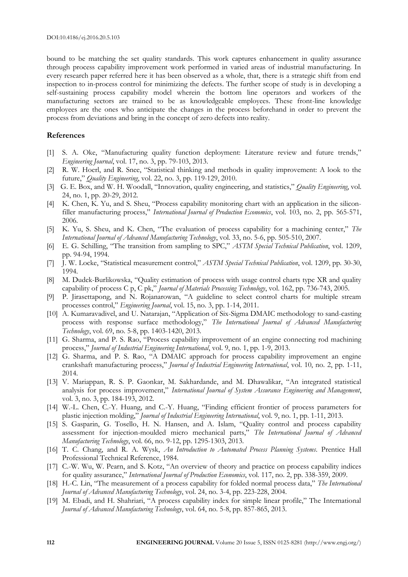bound to be matching the set quality standards. This work captures enhancement in quality assurance through process capability improvement work performed in varied areas of industrial manufacturing. In every research paper referred here it has been observed as a whole, that, there is a strategic shift from end inspection to in-process control for minimizing the defects. The further scope of study is in developing a self-sustaining process capability model wherein the bottom line operators and workers of the manufacturing sectors are trained to be as knowledgeable employees. These front-line knowledge employees are the ones who anticipate the changes in the process beforehand in order to prevent the process from deviations and bring in the concept of zero defects into reality.

#### **References**

- [1] S. A. Oke, "Manufacturing quality function deployment: Literature review and future trends," *Engineering Journal*, vol. 17, no. 3, pp. 79-103, 2013.
- [2] R. W. Hoerl, and R. Snee, "Statistical thinking and methods in quality improvement: A look to the future," *Quality Engineering*, vol. 22, no. 3, pp. 119-129, 2010.
- [3] G. E. Box, and W. H. Woodall, "Innovation, quality engineering, and statistics," *Quality Engineering*, vol. 24, no. 1, pp. 20-29, 2012.
- [4] K. Chen, K. Yu, and S. Sheu, "Process capability monitoring chart with an application in the siliconfiller manufacturing process," *International Journal of Production Economics*, vol. 103, no. 2, pp. 565-571, 2006.
- [5] K. Yu, S. Sheu, and K. Chen, "The evaluation of process capability for a machining center," *The International Journal of Advanced Manufacturing Technology*, vol. 33, no. 5-6, pp. 505-510, 2007.
- [6] E. G. Schilling, "The transition from sampling to SPC," *ASTM Special Technical Publication*, vol. 1209, pp. 94-94, 1994.
- [7] J. W. Locke, "Statistical measurement control," *ASTM Special Technical Publication*, vol. 1209, pp. 30-30, 1994.
- [8] M. Dudek-Burlikowska, "Quality estimation of process with usage control charts type XR and quality capability of process C p, C pk," *Journal of Materials Processing Technology*, vol. 162, pp. 736-743, 2005.
- [9] P. Jirasettapong, and N. Rojanarowan, "A guideline to select control charts for multiple stream processes control," *Engineering Journal*, vol. 15, no. 3, pp. 1-14, 2011.
- [10] A. Kumaravadivel, and U. Natarajan, "Application of Six-Sigma DMAIC methodology to sand-casting process with response surface methodology," *The International Journal of Advanced Manufacturing Technology*, vol. 69, no. 5-8, pp. 1403-1420, 2013.
- [11] G. Sharma, and P. S. Rao, "Process capability improvement of an engine connecting rod machining process," *Journal of Industrial Engineering International*, vol. 9, no. 1, pp. 1-9, 2013.
- [12] G. Sharma, and P. S. Rao, "A DMAIC approach for process capability improvement an engine crankshaft manufacturing process," *Journal of Industrial Engineering International*, vol. 10, no. 2, pp. 1-11, 2014.
- [13] V. Mariappan, R. S. P. Gaonkar, M. Sakhardande, and M. Dhawalikar, "An integrated statistical analysis for process improvement," *International Journal of System Assurance Engineering and Management*, vol. 3, no. 3, pp. 184-193, 2012.
- [14] W.-L. Chen, C.-Y. Huang, and C.-Y. Huang, "Finding efficient frontier of process parameters for plastic injection molding," *Journal of Industrial Engineering International*, vol. 9, no. 1, pp. 1-11, 2013.
- [15] S. Gasparin, G. Tosello, H. N. Hansen, and A. Islam, "Quality control and process capability assessment for injection-moulded micro mechanical parts," *The International Journal of Advanced Manufacturing Technology*, vol. 66, no. 9-12, pp. 1295-1303, 2013.
- [16] T. C. Chang, and R. A. Wysk, *An Introduction to Automated Process Planning Systems*. Prentice Hall Professional Technical Reference, 1984.
- [17] C.-W. Wu, W. Pearn, and S. Kotz, "An overview of theory and practice on process capability indices for quality assurance," *International Journal of Production Economics*, vol. 117, no. 2, pp. 338-359, 2009.
- [18] H.-C. Lin, "The measurement of a process capability for folded normal process data," *The International Journal of Advanced Manufacturing Technology*, vol. 24, no. 3-4, pp. 223-228, 2004.
- [19] M. Ebadi, and H. Shahriari, "A process capability index for simple linear profile," The International *Journal of Advanced Manufacturing Technology*, vol. 64, no. 5-8, pp. 857-865, 2013.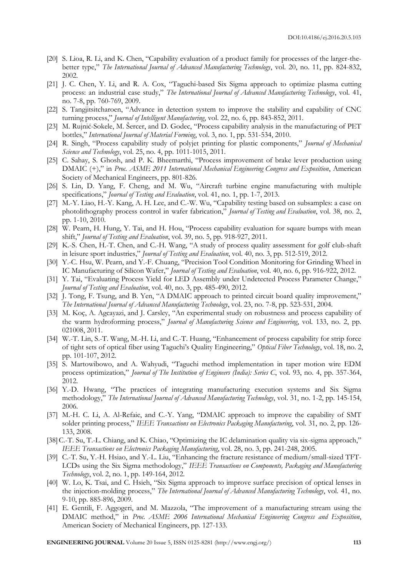- [20] S. Lioa, R. Li, and K. Chen, "Capability evaluation of a product family for processes of the larger-thebetter type," *The International Journal of Advanced Manufacturing Technology*, vol. 20, no. 11, pp. 824-832, 2002.
- [21] J. C. Chen, Y. Li, and R. A. Cox, "Taguchi-based Six Sigma approach to optimize plasma cutting process: an industrial case study," *The International Journal of Advanced Manufacturing Technology*, vol. 41, no. 7-8, pp. 760-769, 2009.
- [22] S. Tangjitsitcharoen, "Advance in detection system to improve the stability and capability of CNC turning process," *Journal of Intelligent Manufacturing*, vol. 22, no. 6, pp. 843-852, 2011.
- [23] M. Rujnić-Sokele, M. Šercer, and D. Godec, "Process capability analysis in the manufacturing of PET bottles," *International Journal of Material Forming*, vol. 3, no. 1, pp. 531-534, 2010.
- [24] R. Singh, "Process capability study of polyjet printing for plastic components," *Journal of Mechanical Science and Technology*, vol. 25, no. 4, pp. 1011-1015, 2011.
- [25] C. Sahay, S. Ghosh, and P. K. Bheemarthi, "Process improvement of brake lever production using DMAIC (+)," in *Proc. ASME 2011 International Mechanical Engineering Congress and Exposition*, American Society of Mechanical Engineers, pp. 801-826.
- [26] S. Lin, D. Yang, F. Cheng, and M. Wu, "Aircraft turbine engine manufacturing with multiple specifications," *Journal of Testing and Evaluation*, vol. 41, no. 1, pp. 1-7, 2013.
- [27] M.-Y. Liao, H.-Y. Kang, A. H. Lee, and C.-W. Wu, "Capability testing based on subsamples: a case on photolithography process control in wafer fabrication," *Journal of Testing and Evaluation*, vol. 38, no. 2, pp. 1-10, 2010.
- [28] W. Pearn, H. Hung, Y. Tai, and H. Hou, "Process capability evaluation for square bumps with mean shift," *Journal of Testing and Evaluation*, vol. 39, no. 5, pp. 918-927, 2011.
- [29] K.-S. Chen, H.-T. Chen, and C.-H. Wang, "A study of process quality assessment for golf club-shaft in leisure sport industries," *Journal of Testing and Evaluation*, vol. 40, no. 3, pp. 512-519, 2012.
- [30] Y.-C. Hsu, W. Pearn, and Y.-F. Chuang, "Precision Tool Condition Monitoring for Grinding Wheel in IC Manufacturing of Silicon Wafer," *Journal of Testing and Evaluation*, vol. 40, no. 6, pp. 916-922, 2012.
- [31] Y. Tai, "Evaluating Process Yield for LED Assembly under Undetected Process Parameter Change," *Journal of Testing and Evaluation*, vol. 40, no. 3, pp. 485-490, 2012.
- [32] J. Tong, F. Tsung, and B. Yen, "A DMAIC approach to printed circuit board quality improvement," *The International Journal of Advanced Manufacturing Technology*, vol. 23, no. 7-8, pp. 523-531, 2004.
- [33] M. Koç, A. Agcayazi, and J. Carsley, "An experimental study on robustness and process capability of the warm hydroforming process," *Journal of Manufacturing Science and Engineering*, vol. 133, no. 2, pp. 021008, 2011.
- [34] W.-T. Lin, S.-T. Wang, M.-H. Li, and C.-T. Huang, "Enhancement of process capability for strip force of tight sets of optical fiber using Taguchi's Quality Engineering," *Optical Fiber Technology*, vol. 18, no. 2, pp. 101-107, 2012.
- [35] S. Martowibowo, and A. Wahyudi, "Taguchi method implementation in taper motion wire EDM process optimization," *Journal of The Institution of Engineers (India): Series C*, vol. 93, no. 4, pp. 357-364, 2012.
- [36] Y.-D. Hwang, "The practices of integrating manufacturing execution systems and Six Sigma methodology," *The International Journal of Advanced Manufacturing Technology*, vol. 31, no. 1-2, pp. 145-154, 2006.
- [37] M.-H. C. Li, A. Al-Refaie, and C.-Y. Yang, "DMAIC approach to improve the capability of SMT solder printing process," *IEEE Transactions on Electronics Packaging Manufacturing*, vol. 31, no. 2, pp. 126- 133, 2008.
- [38] C.-T. Su, T.-L. Chiang, and K. Chiao, "Optimizing the IC delamination quality via six-sigma approach," *IEEE Transactions on Electronics Packaging Manufacturing*, vol. 28, no. 3, pp. 241-248, 2005.
- [39] C.-T. Su, Y.-H. Hsiao, and Y.-L. Liu, "Enhancing the fracture resistance of medium/small-sized TFT-LCDs using the Six Sigma methodology," *IEEE Transactions on Components, Packaging and Manufacturing Technology*, vol. 2, no. 1, pp. 149-164, 2012.
- [40] W. Lo, K. Tsai, and C. Hsieh, "Six Sigma approach to improve surface precision of optical lenses in the injection-molding process," *The International Journal of Advanced Manufacturing Technology*, vol. 41, no. 9-10, pp. 885-896, 2009.
- [41] E. Gentili, F. Aggogeri, and M. Mazzola, "The improvement of a manufacturing stream using the DMAIC method," in *Proc. ASME 2006 International Mechanical Engineering Congress and Exposition*, American Society of Mechanical Engineers, pp. 127-133.

**ENGINEERING JOURNAL** Volume 20 Issue 5, ISSN 0125-8281 (http://www.engj.org/) **113**